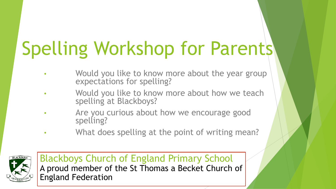# Spelling Workshop for Parents

- Would you like to know more about the year group expectations for spelling?
- Would you like to know more about how we teach spelling at Blackboys?
- Are you curious about how we encourage good spelling?
- What does spelling at the point of writing mean?

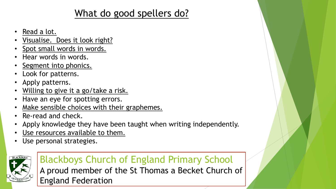# What do good spellers do?

- Read a lot.
- Visualise. Does it look right?
- Spot small words in words.
- Hear words in words.
- Segment into phonics.
- Look for patterns.
- Apply patterns.
- Willing to give it a go/take a risk.
- Have an eye for spotting errors.
- Make sensible choices with their graphemes.
- Re-read and check.
- Apply knowledge they have been taught when writing independently.
- Use resources available to them.
- Use personal strategies.



## Blackboys Church of England Primary School

A proud member of the St Thomas a Becket Church of England Federation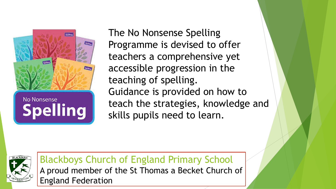

# **No Nonsense Spelling**

The No Nonsense Spelling Programme is devised to offer teachers a comprehensive yet accessible progression in the teaching of spelling. Guidance is provided on how to teach the strategies, knowledge and skills pupils need to learn.

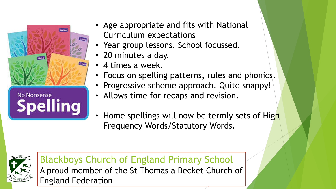

- Age appropriate and fits with National Curriculum expectations
- Year group lessons. School focussed.
- 20 minutes a day.
- 4 times a week.
- Focus on spelling patterns, rules and phonics.
- Progressive scheme approach. Quite snappy!
- Allows time for recaps and revision.
- Home spellings will now be termly sets of High Frequency Words/Statutory Words.

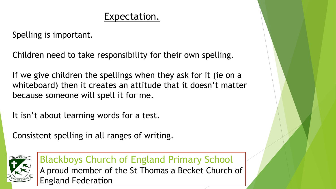# Expectation.

Spelling is important.

Children need to take responsibility for their own spelling.

If we give children the spellings when they ask for it (ie on a whiteboard) then it creates an attitude that it doesn't matter because someone will spell it for me.

It isn't about learning words for a test.

Consistent spelling in all ranges of writing.

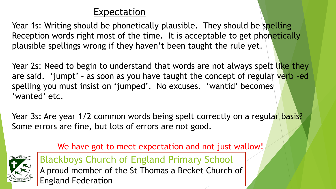# Expectation

Year 1s: Writing should be phonetically plausible. They should be spelling Reception words right most of the time. It is acceptable to get phonetically plausible spellings wrong if they haven't been taught the rule yet.

Year 2s: Need to begin to understand that words are not always spelt like they are said. 'jumpt' - as soon as you have taught the concept of regular verb -ed spelling you must insist on 'jumped'. No excuses. 'wantid' becomes 'wanted' etc.

Year 3s: Are year 1/2 common words being spelt correctly on a regular basis? Some errors are fine, but lots of errors are not good.



We have got to meet expectation and not just wallow!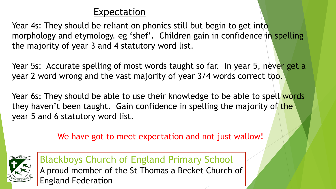# Expectation

Year 4s: They should be reliant on phonics still but begin to get into morphology and etymology. eg 'shef'. Children gain in confidence in spelling the majority of year 3 and 4 statutory word list.

Year 5s: Accurate spelling of most words taught so far. In year 5, never get a year 2 word wrong and the vast majority of year 3/4 words correct too.

Year 6s: They should be able to use their knowledge to be able to spell words they haven't been taught. Gain confidence in spelling the majority of the year 5 and 6 statutory word list.

We have got to meet expectation and not just wallow!

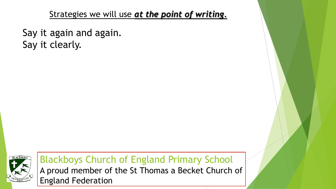Say it again and again. Say it clearly.

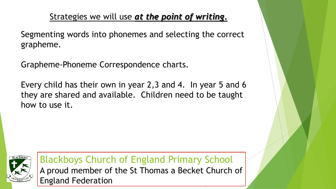Segmenting words into phonemes and selecting the correct grapheme.

Grapheme-Phoneme Correspondence charts.

Every child has their own in year 2,3 and 4. In year 5 and 6 they are shared and available. Children need to be taught how to use it.

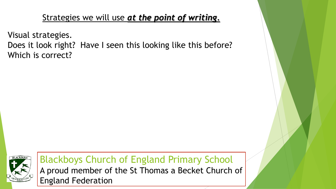Visual strategies. Does it look right? Have I seen this looking like this before? Which is correct?

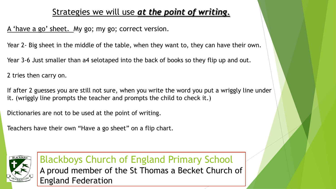A 'have a go' sheet. My go; my go; correct version.

Year 2- Big sheet in the middle of the table, when they want to, they can have their own.

Year 3-6 Just smaller than a4 selotaped into the back of books so they flip up and out.

2 tries then carry on.

If after 2 guesses you are still not sure, when you write the word you put a wriggly line under it. (wriggly line prompts the teacher and prompts the child to check it.)

Dictionaries are not to be used at the point of writing.

Teachers have their own "Have a go sheet" on a flip chart.

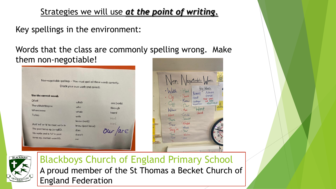#### Key spellings in the environment:

Words that the class are commonly spelling wrong. Make them non-negotiable!

| Non-negotiable spellings - You must spell all these words correctly. |                                  |             |                   |                                     |
|----------------------------------------------------------------------|----------------------------------|-------------|-------------------|-------------------------------------|
|                                                                      | Check your own work and correct. |             |                   | lad                                 |
| Use the correct words                                                |                                  |             |                   | Beou<br>$\alpha$<br>Hero            |
| Of/off                                                               | which                            |             |                   | ٠<br>Know<br>Hroth                  |
| There/their/they're                                                  | who                              | are (verb)  |                   | (king of)<br>$\cdot$ ( ) $\mu$      |
| Where/were                                                           | whole                            | through     |                   | Where<br>· Are                      |
| To/too                                                               | with                             | heard       |                   | · Could<br>Were                     |
|                                                                      | know (verb)                      | Went        |                   | · Should<br>There                   |
| Add 'ed' or 'd' to most verbs in                                     | knew (past tense)                | <b>Want</b> |                   | · Would<br>Their                    |
| The past tense eg. jumpED.                                           | does                             |             |                   | · Which<br>They<br>$\cdot$ Your     |
| No verbs end in 'id' in past                                         | doesn't                          |             | <b>TELEVISION</b> | Two<br>- You're                     |
| tense eg. started, wantED.                                           | our                              |             |                   | $\sqrt{30}$<br>· Use<br>$\sqrt{10}$ |